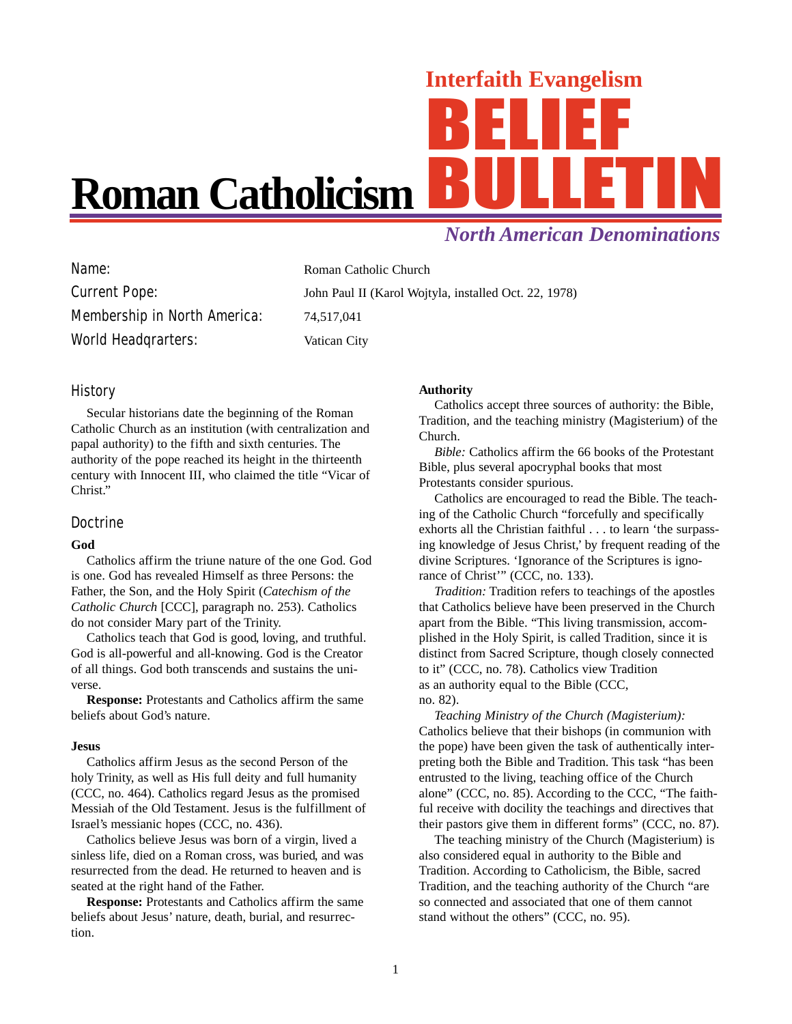# Interfaith Evangelism **Roman Catholicism**

# *North American Denominations*

| Name:                               | Roman Catholic Church                                 |
|-------------------------------------|-------------------------------------------------------|
| <b>Current Pope:</b>                | John Paul II (Karol Wojtyla, installed Oct. 22, 1978) |
| <b>Membership in North America:</b> | 74.517.041                                            |
| <b>World Headgrarters:</b>          | Vatican City                                          |

# History

Secular historians date the beginning of the Roman Catholic Church as an institution (with centralization and papal authority) to the fifth and sixth centuries. The authority of the pope reached its height in the thirteenth century with Innocent III, who claimed the title "Vicar of Christ."

## Doctrine

#### **God**

Catholics affirm the triune nature of the one God. God is one. God has revealed Himself as three Persons: the Father, the Son, and the Holy Spirit (*Catechism of the Catholic Church* [CCC], paragraph no. 253). Catholics do not consider Mary part of the Trinity.

Catholics teach that God is good, loving, and truthful. God is all-powerful and all-knowing. God is the Creator of all things. God both transcends and sustains the universe.

**Response:** Protestants and Catholics affirm the same beliefs about God's nature.

#### **Jesus**

Catholics affirm Jesus as the second Person of the holy Trinity, as well as His full deity and full humanity (CCC, no. 464). Catholics regard Jesus as the promised Messiah of the Old Testament. Jesus is the fulfillment of Israel's messianic hopes (CCC, no. 436).

Catholics believe Jesus was born of a virgin, lived a sinless life, died on a Roman cross, was buried, and was resurrected from the dead. He returned to heaven and is seated at the right hand of the Father.

**Response:** Protestants and Catholics affirm the same beliefs about Jesus' nature, death, burial, and resurrection.

#### **Authority**

Catholics accept three sources of authority: the Bible, Tradition, and the teaching ministry (Magisterium) of the Church.

*Bible:* Catholics affirm the 66 books of the Protestant Bible, plus several apocryphal books that most Protestants consider spurious.

Catholics are encouraged to read the Bible. The teaching of the Catholic Church "forcefully and specifically exhorts all the Christian faithful . . . to learn 'the surpassing knowledge of Jesus Christ,' by frequent reading of the divine Scriptures. 'Ignorance of the Scriptures is ignorance of Christ'" (CCC, no. 133).

*Tradition:* Tradition refers to teachings of the apostles that Catholics believe have been preserved in the Church apart from the Bible. "This living transmission, accomplished in the Holy Spirit, is called Tradition, since it is distinct from Sacred Scripture, though closely connected to it" (CCC, no. 78). Catholics view Tradition as an authority equal to the Bible (CCC, no. 82).

*Teaching Ministry of the Church (Magisterium):* Catholics believe that their bishops (in communion with the pope) have been given the task of authentically interpreting both the Bible and Tradition. This task "has been entrusted to the living, teaching office of the Church alone" (CCC, no. 85). According to the CCC, "The faithful receive with docility the teachings and directives that their pastors give them in different forms" (CCC, no. 87).

The teaching ministry of the Church (Magisterium) is also considered equal in authority to the Bible and Tradition. According to Catholicism, the Bible, sacred Tradition, and the teaching authority of the Church "are so connected and associated that one of them cannot stand without the others" (CCC, no. 95).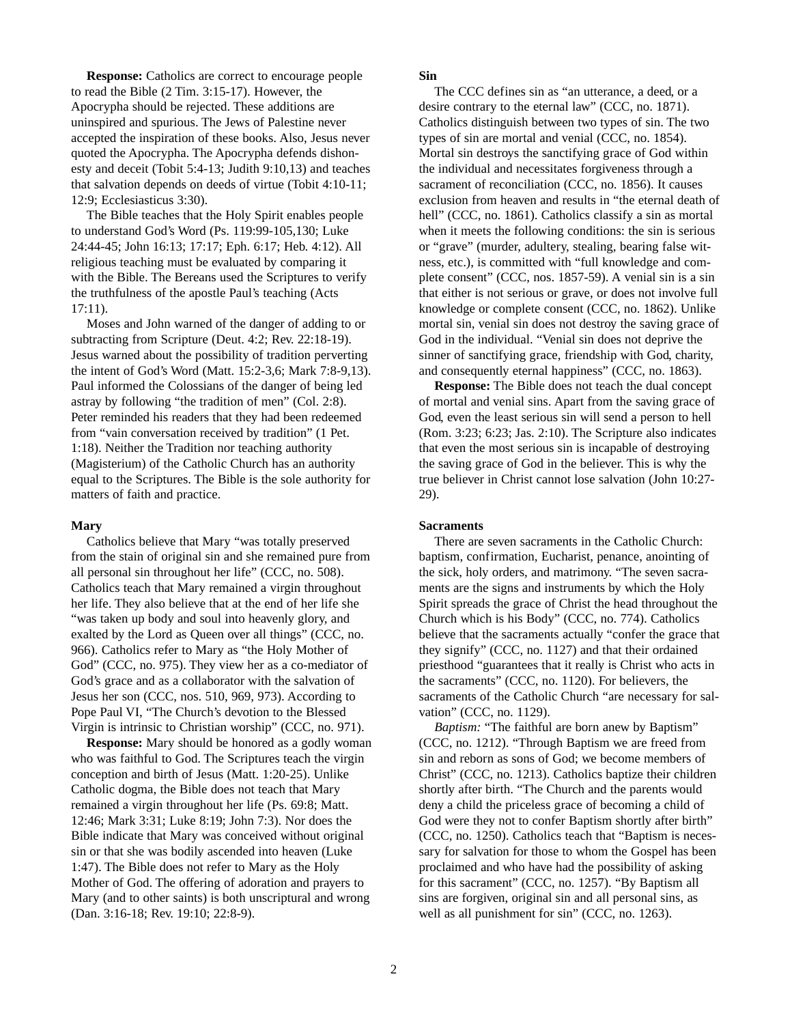**Response:** Catholics are correct to encourage people to read the Bible (2 Tim. 3:15-17). However, the Apocrypha should be rejected. These additions are uninspired and spurious. The Jews of Palestine never accepted the inspiration of these books. Also, Jesus never quoted the Apocrypha. The Apocrypha defends dishonesty and deceit (Tobit 5:4-13; Judith 9:10,13) and teaches that salvation depends on deeds of virtue (Tobit 4:10-11; 12:9; Ecclesiasticus 3:30).

The Bible teaches that the Holy Spirit enables people to understand God's Word (Ps. 119:99-105,130; Luke 24:44-45; John 16:13; 17:17; Eph. 6:17; Heb. 4:12). All religious teaching must be evaluated by comparing it with the Bible. The Bereans used the Scriptures to verify the truthfulness of the apostle Paul's teaching (Acts 17:11).

Moses and John warned of the danger of adding to or subtracting from Scripture (Deut. 4:2; Rev. 22:18-19). Jesus warned about the possibility of tradition perverting the intent of God's Word (Matt. 15:2-3,6; Mark 7:8-9,13). Paul informed the Colossians of the danger of being led astray by following "the tradition of men" (Col. 2:8). Peter reminded his readers that they had been redeemed from "vain conversation received by tradition" (1 Pet. 1:18). Neither the Tradition nor teaching authority (Magisterium) of the Catholic Church has an authority equal to the Scriptures. The Bible is the sole authority for matters of faith and practice.

#### **Mary**

Catholics believe that Mary "was totally preserved from the stain of original sin and she remained pure from all personal sin throughout her life" (CCC, no. 508). Catholics teach that Mary remained a virgin throughout her life. They also believe that at the end of her life she "was taken up body and soul into heavenly glory, and exalted by the Lord as Queen over all things" (CCC, no. 966). Catholics refer to Mary as "the Holy Mother of God" (CCC, no. 975). They view her as a co-mediator of God's grace and as a collaborator with the salvation of Jesus her son (CCC, nos. 510, 969, 973). According to Pope Paul VI, "The Church's devotion to the Blessed Virgin is intrinsic to Christian worship" (CCC, no. 971).

**Response:** Mary should be honored as a godly woman who was faithful to God. The Scriptures teach the virgin conception and birth of Jesus (Matt. 1:20-25). Unlike Catholic dogma, the Bible does not teach that Mary remained a virgin throughout her life (Ps. 69:8; Matt. 12:46; Mark 3:31; Luke 8:19; John 7:3). Nor does the Bible indicate that Mary was conceived without original sin or that she was bodily ascended into heaven (Luke 1:47). The Bible does not refer to Mary as the Holy Mother of God. The offering of adoration and prayers to Mary (and to other saints) is both unscriptural and wrong (Dan. 3:16-18; Rev. 19:10; 22:8-9).

#### **Sin**

The CCC defines sin as "an utterance, a deed, or a desire contrary to the eternal law" (CCC, no. 1871). Catholics distinguish between two types of sin. The two types of sin are mortal and venial (CCC, no. 1854). Mortal sin destroys the sanctifying grace of God within the individual and necessitates forgiveness through a sacrament of reconciliation (CCC, no. 1856). It causes exclusion from heaven and results in "the eternal death of hell" (CCC, no. 1861). Catholics classify a sin as mortal when it meets the following conditions: the sin is serious or "grave" (murder, adultery, stealing, bearing false witness, etc.), is committed with "full knowledge and complete consent" (CCC, nos. 1857-59). A venial sin is a sin that either is not serious or grave, or does not involve full knowledge or complete consent (CCC, no. 1862). Unlike mortal sin, venial sin does not destroy the saving grace of God in the individual. "Venial sin does not deprive the sinner of sanctifying grace, friendship with God, charity, and consequently eternal happiness" (CCC, no. 1863).

**Response:** The Bible does not teach the dual concept of mortal and venial sins. Apart from the saving grace of God, even the least serious sin will send a person to hell (Rom. 3:23; 6:23; Jas. 2:10). The Scripture also indicates that even the most serious sin is incapable of destroying the saving grace of God in the believer. This is why the true believer in Christ cannot lose salvation (John 10:27- 29).

#### **Sacraments**

There are seven sacraments in the Catholic Church: baptism, confirmation, Eucharist, penance, anointing of the sick, holy orders, and matrimony. "The seven sacraments are the signs and instruments by which the Holy Spirit spreads the grace of Christ the head throughout the Church which is his Body" (CCC, no. 774). Catholics believe that the sacraments actually "confer the grace that they signify" (CCC, no. 1127) and that their ordained priesthood "guarantees that it really is Christ who acts in the sacraments" (CCC, no. 1120). For believers, the sacraments of the Catholic Church "are necessary for salvation" (CCC, no. 1129).

*Baptism:* "The faithful are born anew by Baptism" (CCC, no. 1212). "Through Baptism we are freed from sin and reborn as sons of God; we become members of Christ" (CCC, no. 1213). Catholics baptize their children shortly after birth. "The Church and the parents would deny a child the priceless grace of becoming a child of God were they not to confer Baptism shortly after birth" (CCC, no. 1250). Catholics teach that "Baptism is necessary for salvation for those to whom the Gospel has been proclaimed and who have had the possibility of asking for this sacrament" (CCC, no. 1257). "By Baptism all sins are forgiven, original sin and all personal sins, as well as all punishment for sin" (CCC, no. 1263).